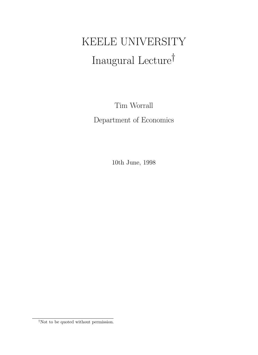# KEELE UNIVERSITY Inaugural Lecture†

Tim Worrall Department of Economics

10th June, 1998

†Not to be quoted without permission.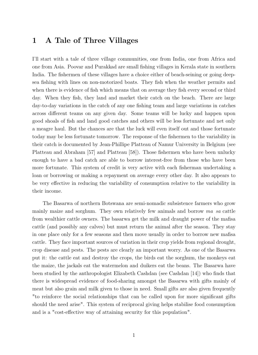## 1 A Tale of Three Villages

I'll start with a tale of three village communities, one from India, one from Africa and one from Asia. Poovar and Purakkad are small fishing villages in Kerala state in southern India. The fishermen of these villages have a choice either of beach-seining or going deepsea fishing with lines on non-motorized boats. They fish when the weather permits and when there is evidence of fish which means that on average they fish every second or third day. When they fish, they land and market their catch on the beach. There are large day-to-day variations in the catch of any one fishing team and large variations in catches across different teams on any given day. Some teams will be lucky and happen upon good shoals of fish and land good catches and others will be less fortunate and net only a meagre haul. But the chances are that the luck will even itself out and those fortunate today may be less fortunate tomorrow. The response of the fishermen to the variability in their catch is documented by Jean-Phillipe Platteau of Namur University in Belgium (see Platteau and Abraham [57] and Platteau [58]). Those fishermen who have been unlucky enough to have a bad catch are able to borrow interest-free from those who have been more fortunate. This system of credit is very active with each fisherman undertaking a loan or borrowing or making a repayment on average every other day. It also appears to be very effective in reducing the variability of consumption relative to the variability in their income.

The Basarwa of northern Botswana are semi-nomadic subsistence farmers who grow mainly maize and sorghum. They own relatively few animals and borrow mafisa cattle from wealthier cattle owners. The basarwa get the milk and draught power of the mafisa cattle (and possibly any calves) but must return the animal after the season. They stay in one place only for a few seasons and then move usually in order to borrow new mafisa cattle. They face important sources of variation in their crop yields from regional drought, crop disease and pests. The pests are clearly an important worry. As one of the Basarwa put it: the cattle eat and destroy the crops, the birds eat the sorghum, the monkeys eat the maize, the jackals eat the watermelon and duikers eat the beans. The Basarwa have been studied by the anthropologist Elizabeth Cashdan (see Cashdan [14]) who finds that there is widespread evidence of food-sharing amongst the Basarwa with gifts mainly of meat but also grain and milk given to those in need. Small gifts are also given frequently "to reinforce the social relationships that can be called upon for more significant gifts should the need arise". This system of reciprocal giving helps stabilise food consumption and is a "cost-effective way of attaining security for this population".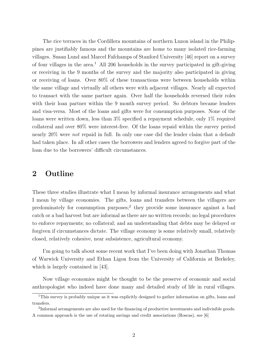The rice terraces in the Cordillera mountains of northern Luzon island in the Philippines are justifiably famous and the mountains are home to many isolated rice-farming villages. Susan Lund and Marcel Fafchamps of Stanford University [46] report on a survey of four villages in the area.<sup>1</sup> All 206 households in the survey participated in gift-giving or receiving in the 9 months of the survey and the majority also participated in giving or receiving of loans. Over 80% of these transactions were between households within the same village and virtually all others were with adjacent villages. Nearly all expected to transact with the same partner again. Over half the households reversed their roles with their loan partner within the 9 month survey period. So debtors became lenders and visa-versa. Most of the loans and gifts were for consumption purposes. None of the loans were written down, less than 3% specified a repayment schedule, only 1% required collateral and over 80% were interest-free. Of the loans repaid within the survey period nearly 20% were not repaid in full. In only one case did the lender claim that a default had taken place. In all other cases the borrowers and lenders agreed to forgive part of the loan due to the borrowers' difficult circumstances.

## 2 Outline

These three studies illustrate what I mean by informal insurance arrangements and what I mean by village economies. The gifts, loans and transfers between the villagers are predominately for consumption purposes;<sup>2</sup> they provide some insurance against a bad catch or a bad harvest but are informal as there are no written records; no legal procedures to enforce repayments; no collateral; and an understanding that debts may be delayed or forgiven if circumstances dictate. The village economy is some relatively small, relatively closed, relatively cohesive, near subsistence, agricultural economy.

I'm going to talk about some recent work that I've been doing with Jonathan Thomas of Warwick University and Ethan Ligon from the University of California at Berkeley, which is largely contained in [43].

Now village economies might be thought to be the preserve of economic and social anthropologist who indeed have done many and detailed study of life in rural villages.

<sup>&</sup>lt;sup>1</sup>This survey is probably unique as it was explicitly designed to gather information on gifts, loans and transfers.

<sup>&</sup>lt;sup>2</sup>Informal arrangements are also used for the financing of productive investments and indivisible goods. A common approach is the use of rotating savings and credit associations (Roscas), see [6]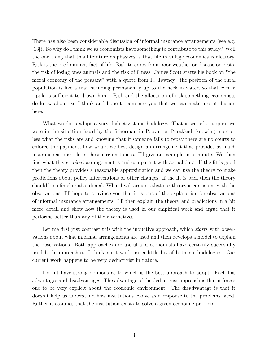There has also been considerable discussion of informal insurance arrangements (see e.g. [13]). So why do I think we as economists have something to contribute to this study? Well the one thing that this literature emphasizes is that life in village economies is aleatory. Risk is the predominant fact of life. Risk to crops from poor weather or disease or pests, the risk of losing ones animals and the risk of illness. James Scott starts his book on "the moral economy of the peasant" with a quote from R. Tawney "the position of the rural population is like a man standing permanently up to the neck in water, so that even a ripple is sufficient to drown him". Risk and the allocation of risk something economists do know about, so I think and hope to convince you that we can make a contribution here.

What we do is adopt a very deductivist methodology. That is we ask, suppose we were in the situation faced by the fisherman in Poovar or Purakkad, knowing more or less what the risks are and knowing that if someone fails to repay there are no courts to enforce the payment, how would we best design an arrangement that provides as much insurance as possible in these circumstances. I'll give an example in a minute. We then find what this *efficient* arrangement is and compare it with actual data. If the fit is good then the theory provides a reasonable approximation and we can use the theory to make predictions about policy interventions or other changes. If the fit is bad, then the theory should be refined or abandoned. What I will argue is that our theory is consistent with the observations. I'll hope to convince you that it is part of the explanation for observations of informal insurance arrangements. I'll then explain the theory and predictions in a bit more detail and show how the theory is used in our empirical work and argue that it performs better than any of the alternatives.

Let me first just contrast this with the inductive approach, which *starts* with observations about what informal arrangements are used and then develops a model to explain the observations. Both approaches are useful and economists have certainly succesfully used both approaches. I think most work use a little bit of both methodologies. Our current work happens to be very deductivist in nature.

I don't have strong opinions as to which is the best approach to adopt. Each has advantages and disadvantages. The advantage of the deductivist approach is that it forces one to be very explicit about the economic environment. The disadvantage is that it doesn't help us understand how institutions evolve as a response to the problems faced. Rather it assumes that the institution exists to solve a given economic problem.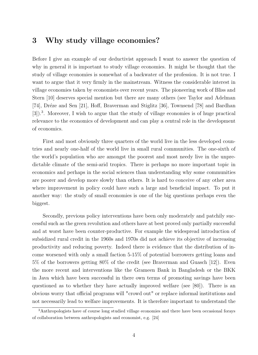## 3 Why study village economies?

Before I give an example of our deductivist approach I want to answer the question of why in general it is important to study village economies. It might be thought that the study of village economies is somewhat of a backwater of the profession. It is not true. I want to argue that it very firmly in the mainstream. Witness the considerable interest in village economies taken by economists over recent years. The pioneering work of Bliss and Stern [10] deserves special mention but there are many others (see Taylor and Adelman [74], Dréze and Sen [21], Hoff, Braverman and Stiglitz [36], Townsend [78] and Bardhan [3]).<sup>3</sup>. Moreover, I wish to argue that the study of village economies is of huge practical relevance to the economics of development and can play a central role in the development of economics.

First and most obviously three quarters of the world live in the less developed countries and nearly one-half of the world live in small rural communities. The one-sixth of the world's population who are amongst the poorest and most needy live in the unpredictable climate of the semi-arid tropics. There is perhaps no more important topic in economics and perhaps in the social sciences than understanding why some communities are poorer and develop more slowly than others. It is hard to conceive of any other area where improvement in policy could have such a large and beneficial impact. To put it another way: the study of small economies is one of the big questions perhaps even the biggest.

Secondly, previous policy interventions have been only moderately and patchily successful such as the green revolution and others have at best proved only partially successful and at worst have been counter-productive. For example the widespread introduction of subsidized rural credit in the 1960s and 1970s did not achieve its objective of increasing productivity and reducing poverty. Indeed there is evidence that the distribution of income worsened with only a small faction 5-15% of potential borrowers getting loans and 5% of the borrowers getting 80% of the credit (see Braverman and Guasch [12]). Even the more recent and interventions like the Grameen Bank in Bangladesh or the BKK in Java which have been successful in there own terms of promoting savings have been questioned as to whether they have actually improved welfare (see [80]). There is an obvious worry that official programs will "crowd out" or replace informal institutions and not necessarily lead to welfare improvements. It is therefore important to understand the

<sup>3</sup>Anthropologists have of course long studied village economies and there have been occasional forays of collaboration between anthropologists and economist, e.g. [24]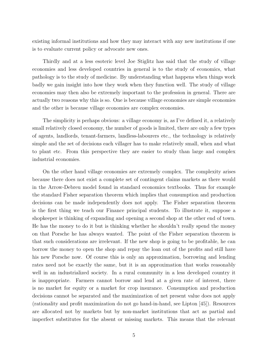existing informal institutions and how they may interact with any new institutions if one is to evaluate current policy or advocate new ones.

Thirdly and at a less esoteric level Joe Stiglitz has said that the study of village economies and less developed countries in general is to the study of economics, what pathology is to the study of medicine. By understanding what happens when things work badly we gain insight into how they work when they function well. The study of village economies may then also be extremely important to the profession in general. There are actually two reasons why this is so. One is because village economies are simple economies and the other is because village economies are complex economies.

The simplicity is perhaps obvious: a village economy is, as I've defined it, a relatively small relatively closed economy, the number of goods is limited, there are only a few types of agents, landlords, tenant-farmers, landless-labourers etc., the technology is relatively simple and the set of decisions each villager has to make relatively small, when and what to plant etc. From this perspective they are easier to study than large and complex industrial economies.

On the other hand village economies are extremely complex. The complexity arises because there does not exist a complete set of contingent claims markets as there would in the Arrow-Debreu model found in standard economics textbooks. Thus for example the standard Fisher separation theorem which implies that consumption and production decisions can be made independently does not apply. The Fisher separation theorem is the first thing we teach our Finance principal students. To illustrate it, suppose a shopkeeper is thinking of expanding and opening a second shop at the other end of town. He has the money to do it but is thinking whether he shouldn't really spend the money on that Porsche he has always wanted. The point of the Fisher separation theorem is that such considerations are irrelevant. If the new shop is going to be profitable, he can borrow the money to open the shop and repay the loan out of the profits and still have his new Porsche now. Of course this is only an approximation, borrowing and lending rates need not be exactly the same, but it is an approximation that works reasonably well in an industrialized society. In a rural community in a less developed country it is inappropriate. Farmers cannot borrow and lend at a given rate of interest, there is no market for equity or a market for crop insurance. Consumption and production decisions cannot be separated and the maximization of net present value does not apply (rationality and profit maximization do not go hand-in-hand, see Lipton [45]). Resources are allocated not by markets but by non-market institutions that act as partial and imperfect substitutes for the absent or missing markets. This means that the relevant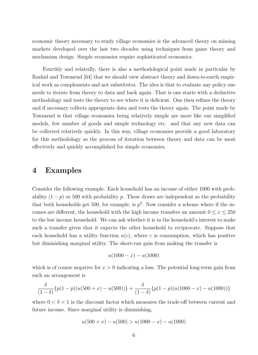economic theory necessary to study village economies is the advanced theory on missing markets developed over the last two decades using techniques from game theory and mechanism design. Simple economies require sophisticated economics.

Fourthly and relatedly, there is also a methodological point made in particular by Rashid and Townsend [64] that we should view abstract theory and down-to-earth empirical work as complements and not substitutes. The idea is that to evaluate any policy one needs to iterate from theory to data and back again. That is one starts with a deductive methodology and tests the theory to see where it is deficient. One then refines the theory and if necessary collects appropriate data and tests the theory again. The point made by Townsend is that village economies being relatively simple are more like our simplified models, few number of goods and simple technology etc. and that any new data can be collected relatively quickly. In this way, village economies provide a good laboratory for this methodology as the process of iteration between theory and data can be most effectively and quickly accomplished for simple economies.

## 4 Examples

Consider the following example. Each household has an income of either 1000 with probability  $(1-p)$  or 500 with probability p. These draws are independent so the probability that both households get 500, for example, is  $p^2$ . Now consider a scheme where if the incomes are different, the household with the high income transfers an amount  $0 \le x \le 250$ to the low income household. We can ask whether it is in the household's interest to make such a transfer given that it expects the other household to reciprocate. Suppose that each household has a utility function  $u(c)$ , where c is consumption, which has positive but diminishing marginal utility. The short-run gain from making the transfer is

$$
u(1000 - x) - u(1000)
$$

which is of course negative for  $x > 0$  indicating a loss. The potential long-term gain from such an arrangement is

$$
\frac{\delta}{(1-\delta)}\{p(1-p)(u(500+x)-u(500))\}+\frac{\delta}{(1-\delta)}\{p(1-p)(u(1000-x)-u(1000))\}
$$

where  $0 < \delta < 1$  is the discount factor which measures the trade-off between current and future income. Since marginal utility is diminishing,

$$
u(500 + x) - u(500) > u(1000 - x) - u(1000)
$$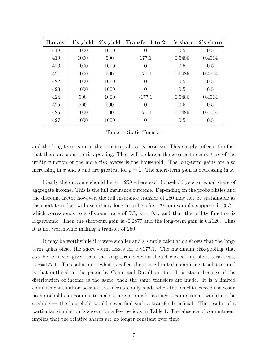| <b>Harvest</b> |      |      | 1's yield 2's yield Transfer 1 to 2 1's share 2's share |        |        |
|----------------|------|------|---------------------------------------------------------|--------|--------|
| 418            | 1000 | 1000 | $\overline{0}$                                          | 0.5    | 0.5    |
| 419            | 1000 | 500  | 177.1                                                   | 0.5486 | 0.4514 |
| 420            | 1000 | 1000 | 0                                                       | 0.5    | 0.5    |
| 421            | 1000 | 500  | 177.1                                                   | 0.5486 | 0.4514 |
| 422            | 1000 | 1000 | $\overline{0}$                                          | 0.5    | 0.5    |
| 423            | 1000 | 1000 | $\Omega$                                                | 0.5    | 0.5    |
| 424            | 500  | 1000 | $-177.1$                                                | 0.5486 | 0.4514 |
| 425            | 500  | 500  | $\overline{0}$                                          | 0.5    | 0.5    |
| 426            | 1000 | 500  | 171.1                                                   | 0.5486 | 0.4514 |
| 427            | 1000 | 1000 | 0                                                       | 0.5    | 0.5    |

#### Table 1: Static Transfer

and the long-term gain in the equation above is positive. This simply reflects the fact that there are gains to risk-pooling. They will be larger the greater the curvature of the utility function or the more risk averse is the household. The long-term gains are also increasing in x and  $\delta$  and are greatest for  $p = \frac{1}{2}$  $\frac{1}{2}$ . The short-term gain is decreasing in x.

Ideally the outcome should be  $x = 250$  where each household gets an equal share of aggregate income. This is the full insurance outcome. Depending on the probabilities and the discount factor however, the full insurance transfer of 250 may not be sustainable as the short-term loss will exceed any long-term benefits. As an example, suppose  $\delta = 20/21$ which corresponds to a discount rate of 5%,  $p = 0.1$ , and that the utility function is logarithmic. Then the short-run gain is -0.2877 and the long-term gain is 0.2120. Thus it is not worthwhile making a transfer of 250.

It may be worthwhile if  $x$  were smaller and a simple calculation shows that the longterm gains offset the short -term losses for  $x<177.1$ . The maximum risk-pooling that can be achieved given that the long-term benefits should exceed any short-term costs is  $x=177.1$ . This solution is what is called the static limited commitment solution and is that outlined in the paper by Coate and Ravallion [15]. It is static because if the distribution of income is the same, then the same transfers are made. It is a limited commitment solution because transfers are only made when the benefits exceed the costs: no household can commit to make a larger transfer as such a commitment would not be credible  $-$  the household would never find such a transfer beneficial. The results of a particular simulation is shown for a few periods in Table 1. The absence of commitment implies that the relative shares are no longer constant over time.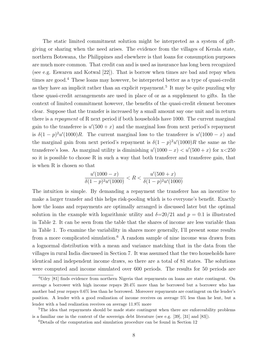The static limited commitment solution might be interpreted as a system of giftgiving or sharing when the need arises. The evidence from the villages of Kerala state, northern Botswana, the Philippines and elsewhere is that loans for consumption purposes are much more common. That credit can and is used as insurance has long been recognized (see e.g. Eswaren and Kotwal [22]). That is borrow when times are bad and repay when times are good.<sup>4</sup> These loans may however, be interpreted better as a type of quasi-credit as they have an implicit rather than an explicit repayment.<sup>5</sup> It may be quite puzzling why these quasi-credit arrangements are used in place of or as a supplement to gifts. In the context of limited commitment however, the benefits of the quasi-credit element becomes clear. Suppose that the transfer is increased by a small amount say one unit and in return there is a repayment of R next period if both households have 1000. The current marginal gain to the transferee is  $u'(500 + x)$  and the marginal loss from next period's repayment is  $\delta(1-p)^2u'(1000)R$ . The current marginal loss to the transferer is  $u'(1000-x)$  and the marginal gain from next period's repayment is  $\delta(1-p)^2u'(1000)R$  the same as the transferee's loss. As marginal utility is diminishing  $u'(1000 - x) < u'(500 + x)$  for  $x < 250$ so it is possible to choose R in such a way that both transferer and transferee gain, that is when R is chosen so that

$$
\frac{u'(1000-x)}{\delta(1-p)^2 u'(1000)} < R < \frac{u'(500+x)}{\delta(1-p)^2 u'(1000)}
$$

The intuition is simple. By demanding a repayment the transferer has an incentive to make a larger transfer and this helps risk-pooling which is to everyone's benefit. Exactly how the loans and repayments are optimally arranged is discussed later but the optimal solution in the example with logarithmic utility and  $\delta = 20/21$  and  $p = 0.1$  is illustrated in Table 2. It can be seen from the table that the shares of income are less variable than in Table 1. To examine the variability in shares more generally, I'll present some results from a more complicated simulation.<sup>6</sup> A random sample of nine income was drawn from a lognormal distribution with a mean and variance matching that in the data from the villages in rural India discussed in Section 7. It was assumed that the two households have identical and independent income draws, so there are a total of 81 states. The solutions were computed and income simulated over 600 periods. The results for 50 periods are

<sup>&</sup>lt;sup>4</sup>Udry [81] finds evidence from northern Nigeria that repayments on loans are state contingent. On average a borrower with high income repays 20.4% more than he borrowed but a borrower who has another bad year repays 0.6% less than he borrowed. Moreover repayments are contingent on the lender's position. A lender with a good realization of income receives on average 5% less than he lent, but a lender with a bad realization receives on average 11.8% more

<sup>&</sup>lt;sup>5</sup>The idea that repayments should be made state contingent when there are enforceability problems is a familiar one in the context of the sovereign debt literature (see e.g. [39], [31] and [83]).

<sup>6</sup>Details of the computation and simulation procedure can be found in Section 12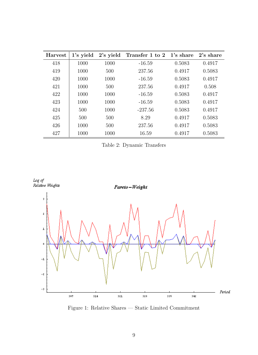| <b>Harvest</b> | 1's yield | 2's yield | Transfer 1 to 2 1's share |        | 2's share |
|----------------|-----------|-----------|---------------------------|--------|-----------|
| 418            | 1000      | 1000      | $-16.59$                  | 0.5083 | 0.4917    |
| 419            | 1000      | 500       | 237.56                    | 0.4917 | 0.5083    |
| 420            | 1000      | 1000      | $-16.59$                  | 0.5083 | 0.4917    |
| 421            | 1000      | 500       | 237.56                    | 0.4917 | 0.508     |
| 422            | 1000      | 1000      | $-16.59$                  | 0.5083 | 0.4917    |
| 423            | 1000      | 1000      | $-16.59$                  | 0.5083 | 0.4917    |
| 424            | 500       | 1000      | $-237.56$                 | 0.5083 | 0.4917    |
| 425            | 500       | 500       | 8.29                      | 0.4917 | 0.5083    |
| 426            | 1000      | 500       | 237.56                    | 0.4917 | 0.5083    |
| 427            | 1000      | 1000      | 16.59                     | 0.4917 | 0.5083    |

Table 2: Dynamic Transfers



Figure 1: Relative Shares — Static Limited Commitment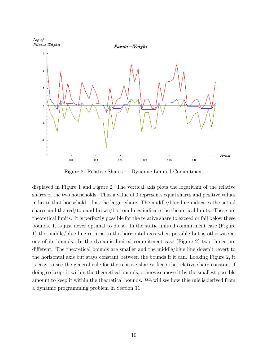

Figure 2: Relative Shares  $-$  Dynamic Limited Commitment

displayed in Figure 1 and Figure 2. The vertical axis plots the logarithm of the relative shares of the two households. Thus a value of 0 represents equal shares and positive values indicate that household 1 has the larger share. The middle/blue line indicates the actual shares and the red/top and brown/bottom lines indicate the theoretical limits. These are theoretical limits. It is perfectly possible for the relative share to exceed or fall below these bounds. It is just never optimal to do so. In the static limited commitment case (Figure 1) the middle/blue line returns to the horizontal axis when possible but is otherwise at one of its bounds. In the dynamic limited commitment case (Figure 2) two things are different. The theoretical bounds are smaller and the middle/blue line doesn't revert to the horizontal axis but stays constant between the bounds if it can. Looking Figure 2, it is easy to see the general rule for the relative shares: keep the relative share constant if doing so keeps it within the theoretical bounds, otherwise move it by the smallest possible amount to keep it within the theoretical bounds. We will see how this rule is derived from a dynamic programming problem in Section 11.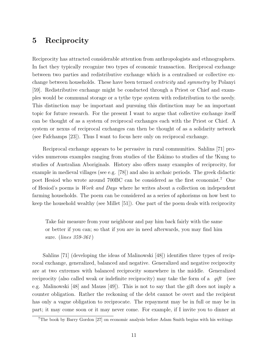## 5 Reciprocity

Reciprocity has attracted considerable attention from anthropologists and ethnographers. In fact they typically recognize two types of economic transaction. Reciprocal exchange between two parties and redistributive exchange which is a centralised or collective exchange between households. These have been termed centricity and symmetry by Polanyi [59]. Redistributive exchange might be conducted through a Priest or Chief and examples would be communal storage or a tythe type system with redistribution to the needy. This distinction may be important and pursuing this distinction may be an important topic for future research. For the present I want to argue that collective exchange itself can be thought of as a system of reciprocal exchanges each with the Priest or Chief. A system or nexus of reciprocal exchanges can then be thought of as a solidarity network (see Fafchamps [23]). Thus I want to focus here only on reciprocal exchange.

Reciprocal exchange appears to be pervasive in rural communities. Sahlins [71] provides numerous examples ranging from studies of the Eskimo to studies of the !Kung to studies of Australian Aboriginals. History also offers many examples of reciprocity, for example in medieval villages (see e.g. [78]) and also in archaic periods. The greek didactic poet Hesiod who wrote around 700BC can be considered as the first economist.<sup>7</sup> One of Hesiod's poems is Work and Days where he writes about a collection on independent farming households. The poem can be considered as a series of aphorisms on how best to keep the household wealthy (see Millet [51]). One part of the poem deals with reciprocity

Take fair measure from your neighbour and pay him back fairly with the same or better if you can; so that if you are in need afterwards, you may find him sure. (lines 359-361 )

Sahlins [71] (developing the ideas of Malinowski [48]) identifies three types of reciprocal exchange, generalized, balanced and negative. Generalized and negative reciprocity are at two extremes with balanced reciprocity somewhere in the middle. Generalized reciprocity (also called weak or indefinite reciprocity) may take the form of a "gift" (see e.g. Malinowski [48] and Mauss [49]). This is not to say that the gift does not imply a counter obligation. Rather the reckoning of the debt cannot be overt and the recipient has only a vague obligation to reciprocate. The repayment may be in full or may be in part; it may come soon or it may never come. For example, if I invite you to dinner at

<sup>&</sup>lt;sup>7</sup>The book by Barry Gordon [27] on economic analysis before Adam Smith begins with his writings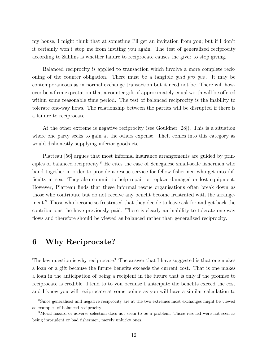my house, I might think that at sometime I'll get an invitation from you; but if I don't it certainly won't stop me from inviting you again. The test of generalized reciprocity according to Sahlins is whether failure to reciprocate causes the giver to stop giving.

Balanced reciprocity is applied to transaction which involve a more complete reckoning of the counter obligation. There must be a tangible quid pro quo. It may be contemporaneous as in normal exchange transaction but it need not be. There will however be a firm expectation that a counter gift of approximately equal worth will be offered within some reasonable time period. The test of balanced reciprocity is the inability to tolerate one-way flows. The relationship between the parties will be disrupted if there is a failure to reciprocate.

At the other extreme is negative reciprocity (see Gouldner [28]). This is a situation where one party seeks to gain at the others expense. Theft comes into this category as would dishonestly supplying inferior goods etc.

Platteau [56] argues that most informal insurance arrangements are guided by principles of balanced reciprocity.<sup>8</sup> He cites the case of Senegalese small-scale fishermen who band together in order to provide a rescue service for fellow fishermen who get into difficulty at sea. They also commit to help repair or replace damaged or lost equipment. However, Platteau finds that these informal rescue organisations often break down as those who contribute but do not receive any benefit become frustrated with the arrangement.<sup>9</sup> Those who become so frustrated that they decide to leave ask for and get back the contributions the have previously paid. There is clearly an inability to tolerate one-way flows and therefore should be viewed as balanced rather than generalized reciprocity.

## 6 Why Reciprocate?

The key question is why reciprocate? The answer that I have suggested is that one makes a loan or a gift because the future benefits exceeds the current cost. That is one makes a loan in the anticipation of being a recipient in the future that is only if the promise to reciprocate is credible. I lend to to you because I anticipate the benefits exceed the cost and I know you will reciprocate at some points as you will have a similar calculation to

<sup>8</sup>Since generalised and negative reciprocity are at the two extremes most exchanges might be viewed as examples of balanced reciprocity

<sup>9</sup>Moral hazard or adverse selection does not seem to be a problem. Those rescued were not seen as being imprudent or bad fishermen, merely unlucky ones.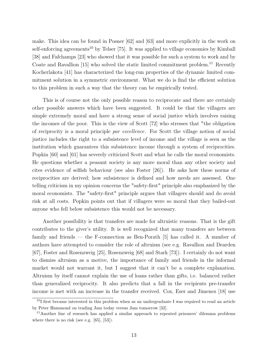make. This idea can be found in Posner [62] and [63] and more explicitly in the work on self-enforcing agreements<sup>10</sup> by Telser [75]. It was applied to village economies by Kimball [38] and Fafchamps [23] who showed that it was possible for such a system to work and by Coate and Ravallion  $[15]$  who solved the static limited commitment problem.<sup>11</sup> Recently Kocherlakota [41] has characterized the long-run properties of the dynamic limited commitment solution in a symmetric environment. What we do is find the efficient solution to this problem in such a way that the theory can be empirically tested.

This is of course not the only possible reason to reciprocate and there are certainly other possible answers which have been suggested. It could be that the villagers are simple extremely moral and have a strong sense of social justice which involves raising the incomes of the poor. This is the view of Scott [72] who stresses that "the obligation of reciprocity is a moral principle par excellence. For Scott the village notion of social justice includes the right to a subsistence level of income and the village is seen as the institution which guarantees this subsistence income through a system of reciprocities. Popkin [60] and [61] has severely criticized Scott and what he calls the moral economists. He questions whether a peasant society is any more moral than any other society and cites evidence of selfish behaviour (see also Foster [26]). He asks how these norms of reciprocities are derived; how subsistence is defined and how needs are assessed. One telling criticism in my opinion concerns the "safety-first" principle also emphasized by the moral economists. The "safety-first" principle argues that villagers should and do avoid risk at all costs. Popkin points out that if villagers were so moral that they bailed-out anyone who fell below subsistence this would not be necessary.

Another possibility is that transfers are made for altruistic reasons. That is the gift contributes to the giver's utility. It is well recognized that many transfers are between family and friends  $-$  the F-connection as Ben-Porath [5] has called it. A number of authors have attempted to consider the role of altruism (see e.g. Ravallion and Dearden [67], Foster and Rosenzweig [25], Rosenzweig [68] and Stark [73]). I certainly do not want to dismiss altruism as a motive, the importance of family and friends in the informal market would not warrant it, but I suggest that it can't be a complete explanation. Altruism by itself cannot explain the use of loans rather than gifts, i.e. balanced rather than generalized reciprocity. It also predicts that a fall in the recipients pre-transfer income is met with an increase in the transfer received. Cox, Eser and Jimenez [18] use

<sup>&</sup>lt;sup>10</sup>I first became interested in this problem when as an undergraduate I was required to read an article by Peter Hammond on trading Jam today versus Jam tomorrow [32].

 $11$ Another line of research has applied a similar approach to repeated prisoners' dilemma problems where there is no risk (see e.g. [65], [53]).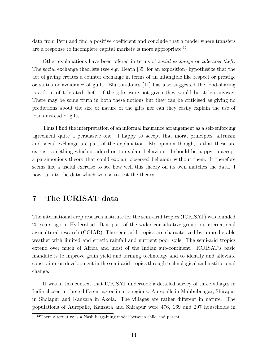data from Peru and find a positive coefficient and conclude that a model where transfers are a response to incomplete capital markets is more appropriate.<sup>12</sup>

Other explanations have been offered in terms of social exchange or tolerated theft. The social exchange theorists (see e.g. Heath [35] for an exposition) hypothesize that the act of giving creates a counter exchange in terms of an intangible like respect or prestige or status or avoidance of guilt. Blurton-Jones [11] has also suggested the food-sharing is a form of tolerated theft: if the gifts were not given they would be stolen anyway. There may be some truth in both these notions but they can be criticised as giving no predictions about the size or nature of the gifts nor can they easily explain the use of loans instead of gifts.

Thus I find the interpretation of an informal insurance arrangement as a self-enforcing agreement quite a persuasive one. I happy to accept that moral principles, altruism and social exchange are part of the explanation. My opinion though, is that these are extras, something which is added on to explain behaviour. I should be happy to accept a parsimonious theory that could explain observed behaiour without them. It therefore seems like a useful exercise to see how well this theory on its own matches the data. I now turn to the data which we use to test the theory.

## 7 The ICRISAT data

The international crop research institute for the semi-arid tropics (ICRISAT) was founded 25 years ago in Hyderabad. It is part of the wider consultative group on international agricultural research (CGIAR). The semi-arid tropics are characterized by unpredictable weather with limited and erratic rainfall and nutrient poor soils. The semi-arid tropics extend over much of Africa and most of the Indian sub-continent. ICRISAT's basic mandate is to improve grain yield and farming technology and to identify and alleviate constraints on development in the semi-arid tropics through technological and institutional change.

It was in this context that ICRISAT undertook a detailed survey of three villages in India chosen in three different agroclimatic regions: Aurepalle in Mahbubnagar, Shirapur in Sholapur and Kanzara in Akola. The villages are rather different in nature. The populations of Aurepalle, Kanzara and Shirapur were 476, 169 and 297 households in

<sup>&</sup>lt;sup>12</sup>There alternative is a Nash bargaining model between child and parent.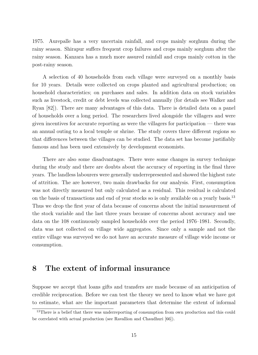1975. Aurepalle has a very uncertain rainfall, and crops mainly sorghum during the rainy season. Shirapur suffers frequent crop failures and crops mainly sorghum after the rainy season. Kanzara has a much more assured rainfall and crops mainly cotton in the post-rainy season.

A selection of 40 households from each village were surveyed on a monthly basis for 10 years. Details were collected on crops planted and agricultural production; on household characteristics; on purchases and sales. In addition data on stock variables such as livestock, credit or debt levels was collected annually (for details see Walker and Ryan [82]). There are many advantages of this data. There is detailed data on a panel of households over a long period. The researchers lived alongside the villagers and were given incentives for accurate reporting as were the villagers for participation  $-$  there was an annual outing to a local temple or shrine. The study covers three different regions so that differences between the villages can be studied. The data set has become justifiably famous and has been used extensively by development economists.

There are also some disadvantages. There were some changes in survey technique during the study and there are doubts about the accuracy of reporting in the final three years. The landless labourers were generally underrepresented and showed the highest rate of attrition. The are however, two main drawbacks for our analysis. First, consumption was not directly measured but only calculated as a residual. This residual is calculated on the basis of transactions and end of year stocks so is only available on a yearly basis.<sup>13</sup> Thus we drop the first year of data because of concerns about the initial measurement of the stock variable and the last three years because of concerns about accuracy and use data on the  $108$  continuously sampled households over the period  $1976-1981$ . Secondly, data was not collected on village wide aggregates. Since only a sample and not the entire village was surveyed we do not have an accurate measure of village wide income or consumption.

## 8 The extent of informal insurance

Suppose we accept that loans gifts and transfers are made because of an anticipation of credible reciprocation. Before we can test the theory we need to know what we have got to estimate, what are the important parameters that determine the extent of informal

<sup>&</sup>lt;sup>13</sup>There is a belief that there was underreporting of consumption from own production and this could be correlated with actual production (see Ravallion and Chaudhuri [66]).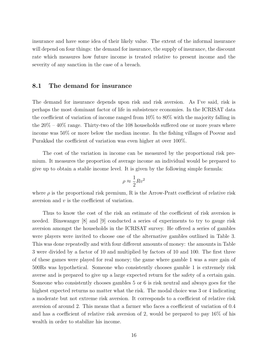insurance and have some idea of their likely value. The extent of the informal insurance will depend on four things: the demand for insurance, the supply of insurance, the discount rate which measures how future income is treated relative to present income and the severity of any sanction in the case of a breach.

#### 8.1 The demand for insurance

The demand for insurance depends upon risk and risk aversion. As I've said, risk is perhaps the most dominant factor of life in subsistence economies. In the ICRISAT data the coefficient of variation of income ranged from 10% to 80% with the majority falling in the  $20\% - 40\%$  range. Thirty-two of the 108 households suffered one or more years where income was 50% or more below the median income. In the fishing villages of Poovar and Purakkad the coefficient of variation was even higher at over 100%.

The cost of the variation in income can be measured by the proportional risk premium. It measures the proportion of average income an individual would be prepared to give up to obtain a stable income level. It is given by the following simple formula:

$$
\rho \approx \frac{1}{2} R v^2
$$

where  $\rho$  is the proportional risk premium, R is the Arrow-Pratt coefficient of relative risk aversion and v is the coefficient of variation.

Thus to know the cost of the risk an estimate of the coefficient of risk aversion is needed. Binswanger [8] and [9] conducted a series of experiments to try to gauge risk aversion amongst the households in the ICRISAT survey. He offered a series of gambles were players were invited to choose one of the alternative gambles outlined in Table 3. This was done repeatedly and with four different amounts of money: the amounts in Table 3 were divided by a factor of 10 and multiplied by factors of 10 and 100. The first three of these games were played for real money; the game where gamble 1 was a sure gain of 500Rs was hypothetical. Someone who consistently chooses gamble 1 is extremely risk averse and is prepared to give up a large expected return for the safety of a certain gain. Someone who consistently chooses gambles 5 or 6 is risk neutral and always goes for the highest expected returns no matter what the risk. The modal choice was 3 or 4 indicating a moderate but not extreme risk aversion. It corresponds to a coefficient of relative risk aversion of around 2. This means that a farmer who faces a coefficient of variation of 0.4 and has a coefficient of relative risk aversion of 2, would be prepared to pay 16% of his wealth in order to stabilize his income.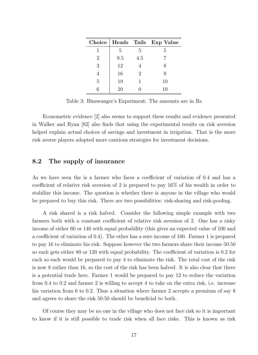|   |     |     | Choice   Heads Tails Exp Value |
|---|-----|-----|--------------------------------|
|   | 5   | 5   | h,                             |
| 2 | 9.5 | 4.5 |                                |
| 3 | 12  |     | X                              |
| 4 | 16  | 2   | 9                              |
| 5 | 19  |     | 10                             |
|   | 20  |     | 10                             |

Table 3: Binswanger's Experiment: The amounts are in Rs

Econometric evidence [2] also seems to support these results and evidence presented in Walker and Ryan [82] also finds that using the experimental results on risk aversion helped explain actual choices of savings and investment in irrigation. That is the more risk averse players adopted more cautious strategies for investment decisions.

#### 8.2 The supply of insurance

As we have seen the is a farmer who faces a coefficient of variation of 0.4 and has a coefficient of relative risk aversion of 2 is prepared to pay 16% of his wealth in order to stabilize this income. The question is whether there is anyone in the village who would be prepared to buy this risk. There are two possibilities: risk-sharing and risk-pooling.

A risk shared is a risk halved. Consider the following simple example with two farmers both with a constant coefficient of relative risk aversion of 2. One has a risky income of either 60 or 140 with equal probability (this gives an expected value of 100 and a coefficient of variation of 0.4). The other has a sure income of 100. Farmer 1 is prepared to pay 16 to eliminate his risk. Suppose however the two farmers share their income 50:50 so each gets either 80 or 120 with equal probability. The coefficient of variation is 0.2 for each so each would be prepared to pay 4 to eliminate the risk. The total cost of the risk is now 8 rather than 16, so the cost of the risk has been halved. It is also clear that there is a potential trade here. Farmer 1 would be prepared to pay 12 to reduce the variation from 0.4 to 0.2 and farmer 2 is willing to accept 4 to take on the extra risk, i.e. increase his variation from 0 to 0.2. Thus a situation where farmer 2 accepts a premium of say 8 and agrees to share the risk 50:50 should be beneficial to both.

Of course they may be no one in the village who does not face risk so it is important to know if it is still possible to trade risk when all face risks. This is known as risk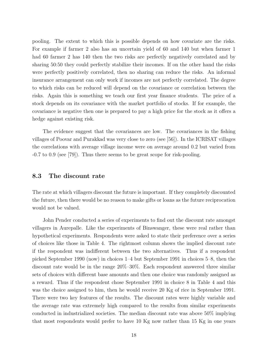pooling. The extent to which this is possible depends on how covariate are the risks. For example if farmer 2 also has an uncertain yield of 60 and 140 but when farmer 1 had 60 farmer 2 has 140 then the two risks are perfectly negatively correlated and by sharing 50:50 they could perfectly stabilize their incomes. If on the other hand the risks were perfectly positively correlated, then no sharing can reduce the risks. An informal insurance arrangement can only work if incomes are not perfectly correlated. The degree to which risks can be reduced will depend on the covariance or correlation between the risks. Again this is something we teach our first year finance students. The price of a stock depends on its covariance with the market portfolio of stocks. If for example, the covariance is negative then one is prepared to pay a high price for the stock as it offers a hedge against existing risk.

The evidence suggest that the covariances are low. The covariances in the fishing villages of Poovar and Purakkad was very close to zero (see [56]). In the ICRISAT villages the correlations with average village income were on average around 0.2 but varied from -0.7 to 0.9 (see [79]). Thus there seems to be great scope for risk-pooling.

#### 8.3 The discount rate

The rate at which villagers discount the future is important. If they completely discounted the future, then there would be no reason to make gifts or loans as the future reciprocation would not be valued.

John Pender conducted a series of experiments to find out the discount rate amongst villagers in Aurepalle. Like the experiments of Binswanger, these were real rather than hypothetical experiments. Respondents were asked to state their preference over a series of choices like those in Table 4. The rightmost column shows the implied discount rate if the respondent was indifferent between the two alternatives. Thus if a respondent picked September 1990 (now) in choices  $1-4$  but September 1991 in choices  $5-8$ , then the discount rate would be in the range  $20\% - 30\%$ . Each respondent answered three similar sets of choices with different base amounts and then one choice was randomly assigned as a reward. Thus if the respondent chose September 1991 in choice 8 in Table 4 and this was the choice assigned to him, then he would receive 20 Kg of rice in September 1991. There were two key features of the results. The discount rates were highly variable and the average rate was extremely high compared to the results from similar experiments conducted in industrialized societies. The median discount rate was above 50% implying that most respondents would prefer to have 10 Kg now rather than 15 Kg in one years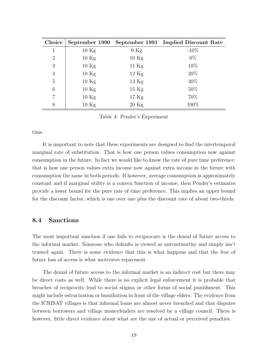| Choice         | September 1990 |                   | September 1991 Implied Discount Rate |
|----------------|----------------|-------------------|--------------------------------------|
| $\mathbf{1}$   | 10 Kg          | $9$ Kg            | $-10\%$                              |
| $\overline{2}$ | 10 Kg          | 10 Kg             | $0\%$                                |
| 3              | 10 Kg          | 11 Kg             | 10%                                  |
| $\overline{4}$ | 10 Kg          | $12 \text{ Kg}$   | $20\%$                               |
| 5              | 10 Kg          | 13 Kg             | $30\%$                               |
| 6              | 10 Kg          | $15\ \mathrm{Kg}$ | $50\%$                               |
| $\overline{7}$ | 10 Kg          | $17 \text{ Kg}$   | 70%                                  |
| 8              | 10 Kg          | $20$ Kg           | 100%                                 |

Table 4: Pender's Experiment

time.

It is important to note that these experiments are designed to find the intertemporal marginal rate of substitution. That is how one person values consumption now against consumption in the future. In fact we would like to know the rate of pure time preference: that is how one person values extra income now against extra income in the future with consumption the same in both periods. If however, average consumption is approximately constant and if marginal utility is a convex function of income, then Pender's estimates provide a lower bound for the pure rate of time preference. This implies an upper bound for the discount factor, which is one over one plus the discount rate of about two-thirds.

### 8.4 Sanctions

The most important sanction if one fails to reciprocate is the denial of future access to the informal market. Someone who defaults is viewed as untrustworthy and simply isn't trusted again. There is some evidence that this is what happens and that the fear of future loss of access is what motivates repayment.

The denial of future access to the informal market is an indirect cost but there may be direct costs as well. While there is no explicit legal enforcement it is probable that breaches of reciprocity lead to social stigma or other forms of social punishment. This might include ostracization or humiliation in front of the village elders. The evidence from the ICRISAT villages is that informal loans are almost never breached and that disputes between borrowers and village moneylenders are resolved by a village council. There is however, little direct evidence about what are the size of actual or perceived penalties.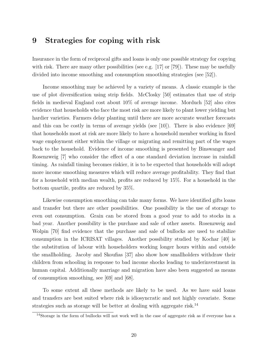## 9 Strategies for coping with risk

Insurance in the form of reciprocal gifts and loans is only one possible strategy for copying with risk. There are many other possibilities (see e.g. [17] or [79]). These may be usefully divided into income smoothing and consumption smoothing strategies (see [52]).

Income smoothing may be achieved by a variety of means. A classic example is the use of plot diversification using strip fields. McClosky [50] estimates that use of strip fields in medieval England cost about 10% of average income. Morduch [52] also cites evidence that households who face the most risk are more likely to plant lower yielding but hardier varieties. Farmers delay planting until there are more accurate weather forecasts and this can be costly in terms of average yields (see [10]). There is also evidence [69] that households most at risk are more likely to have a household member working in fixed wage employment either within the village or migrating and remitting part of the wages back to the household. Evidence of income smoothing is presented by Binswanger and Rosenzweig [7] who consider the effect of a one standard deviation increase in rainfall timing. As rainfall timing becomes riskier, it is to be expected that households will adopt more income smoothing measures which will reduce average profitability. They find that for a household with median wealth, profits are reduced by 15%. For a household in the bottom quartile, profits are reduced by 35%.

Likewise consumption smoothing can take many forms. We have identified gifts loans and transfer but there are other possibilities. One possibility is the use of storage to even out consumption. Grain can be stored from a good year to add to stocks in a bad year. Another possibility is the purchase and sale of other assets. Rosenzweig and Wolpin [70] find evidence that the purchase and sale of bullocks are used to stabilize consumption in the ICRISAT villages. Another possibility studied by Kochar [40] is the substitution of labour with householders working longer hours within and outside the smallholding. Jacoby and Skoufias [37] also show how smallholders withdraw their children from schooling in response to bad income shocks leading to underinvestment in human capital. Additionally marriage and migration have also been suggested as means of consumption smoothing, see [69] and [68].

To some extent all these methods are likely to be used. As we have said loans and transfers are best suited where risk is idiosyncratic and not highly covariate. Some strategies such as storage will be better at dealing with aggregate risk.<sup>14</sup>

<sup>14</sup>Storage in the form of bullocks will not work well in the case of aggregate risk as if everyone has a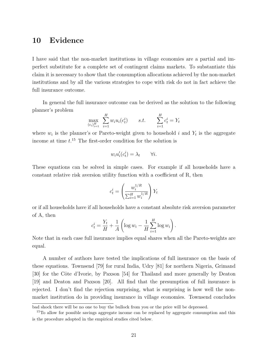## 10 Evidence

I have said that the non-market institutions in village economies are a partial and imperfect substitute for a complete set of contingent claims markets. To substantiate this claim it is necessary to show that the consumption allocations achieved by the non-market institutions and by all the various strategies to cope with risk do not in fact achieve the full insurance outcome.

In general the full insurance outcome can be derived as the solution to the following planner's problem

$$
\max_{(c_i)_{i=1}^H} \sum_{i=1}^H w_i u_i(c_t^i) \qquad s.t. \qquad \sum_{i=1}^H c_t^i = Y_t
$$

where  $w_i$  is the planner's or Pareto-weight given to household i and  $Y_t$  is the aggregate income at time  $t^{15}$ . The first-order condition for the solution is

$$
w_i u_i'(c_t^i) = \lambda_t \qquad \forall i.
$$

These equations can be solved in simple cases. For example if all households have a constant relative risk aversion utility function with a coefficient of R, then

$$
c_t^i = \left(\frac{w_i^{1/R}}{\sum_{i=1}^H w_i^{1/R}}\right) Y_t
$$

or if all households have if all households have a constant absolute risk aversion parameter of A, then

$$
c_t^i = \frac{Y_t}{H} + \frac{1}{A} \left( \log w_i - \frac{1}{H} \sum_{i=1}^H \log w_i \right).
$$

Note that in each case full insurance implies equal shares when all the Pareto-weights are equal.

A number of authors have tested the implications of full insurance on the basis of these equations. Townsend [79] for rural India, Udry [81] for northern Nigeria, Grimand [30] for the Côte d'Ivorie, by Paxson [54] for Thailand and more generally by Deaton [19] and Deaton and Paxson [20]. All find that the presumption of full insurance is rejected. I don't find the rejection surprising, what is surprising is how well the nonmarket institution do in providing insurance in village economies. Townsend concludes

bad shock there will be no one to buy the bullock from you or the price will be depressed.

<sup>&</sup>lt;sup>15</sup>To allow for possible savings aggregate income can be replaced by aggregate consumption and this is the procedure adopted in the empirical studies cited below.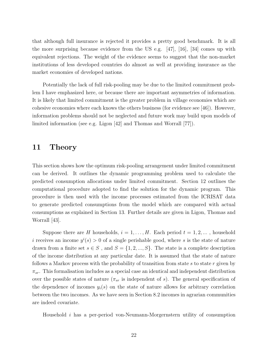that although full insurance is rejected it provides a pretty good benchmark. It is all the more surprising because evidence from the US e.g. [47], [16], [34] comes up with equivalent rejections. The weight of the evidence seems to suggest that the non-market institutions of less developed countries do almost as well at providing insurance as the market economies of developed nations.

Potentially the lack of full risk-pooling may be due to the limited commitment problem I have emphasized here, or because there are important asymmetries of information. It is likely that limited commitment is the greater problem in village economies which are cohesive economies where each knows the others business (for evidence see [46]). However, information problems should not be neglected and future work may build upon models of limited information (see e.g. Ligon [42] and Thomas and Worrall [77]).

## 11 Theory

This section shows how the optimum risk-pooling arrangement under limited commitment can be derived. It outlines the dynamic programming problem used to calculate the predicted consumption allocations under limited commitment. Section 12 outlines the computational procedure adopted to find the solution for the dynamic program. This procedure is then used with the income processes estimated from the ICRISAT data to generate predicted consumptions from the model which are compared with actual consumptions as explained in Section 13. Further details are given in Ligon, Thomas and Worrall [43].

Suppose there are H households,  $i = 1, \ldots, H$ . Each period  $t = 1, 2, \ldots$ , household i receives an income  $y^{i}(s) > 0$  of a single perishable good, where s is the state of nature drawn from a finite set  $s \in S$ , and  $S = \{1, 2, ..., S\}$ . The state is a complete description of the income distribution at any particular date. It is assumed that the state of nature follows a Markov process with the probability of transition from state  $s$  to state  $r$  given by  $\pi_{sr}$ . This formalisation includes as a special case an identical and independent distribution over the possible states of nature  $(\pi_{sr}$  is independent of s). The general specification of the dependence of incomes  $y_i(s)$  on the state of nature allows for arbitrary correlation between the two incomes. As we have seen in Section 8.2 incomes in agrarian communities are indeed covariate.

Household i has a per-period von-Neumann-Morgernstern utility of consumption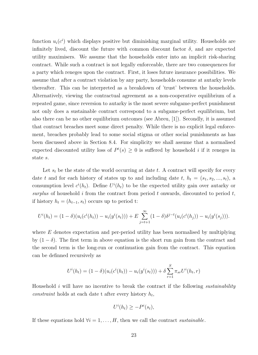function  $u_i(c^i)$  which displays positive but diminishing marginal utility. Households are infinitely lived, discount the future with common discount factor  $\delta$ , and are expected utility maximisers. We assume that the households enter into an implicit risk-sharing contract. While such a contract is not legally enforceable, there are two consequences for a party which reneges upon the contract. First, it loses future insurance possibilities. We assume that after a contract violation by any party, households consume at autarky levels thereafter. This can be interpreted as a breakdown of 'trust' between the households. Alternatively, viewing the contractual agreement as a non-cooperative equilibrium of a repeated game, since reversion to autarky is the most severe subgame-perfect punishment not only does a sustainable contract correspond to a subgame-perfect equilibrium, but also there can be no other equilibrium outcomes (see Abreu, [1]). Secondly, it is assumed that contract breaches meet some direct penalty. While there is no explicit legal enforcement, breaches probably lead to some social stigma or other social punishments as has been discussed above in Section 8.4. For simplicity we shall assume that a normalised expected discounted utility loss of  $P^i(s) \geq 0$  is suffered by household i if it reneges in state s.

Let  $s_t$  be the state of the world occurring at date t. A contract will specify for every date t and for each history of states up to and including date t,  $h_t = (s_1, s_2, ..., s_t)$ , a consumption level  $c^{i}(h_t)$ . Define  $U^{i}(h_t)$  to be the expected utility gain over autarky or surplus of household i from the contract from period t onwards, discounted to period  $t$ , if history  $h_t = (h_{t-1}, s_t)$  occurs up to period t:

$$
U^{i}(h_{t}) = (1 - \delta)(u_{i}(c^{i}(h_{t})) - u_{i}(y^{i}(s_{t}))) + E \sum_{j=t+1}^{\infty} (1 - \delta)\delta^{j-t}(u_{i}(c^{i}(h_{j})) - u_{i}(y^{i}(s_{j}))).
$$

where  $E$  denotes expectation and per-period utility has been normalised by multiplying by  $(1 - \delta)$ . The first term in above equation is the short run gain from the contract and the second term is the long-run or continuation gain from the contract. This equation can be definned recursively as

$$
U^{i}(h_{t}) = (1 - \delta)(u_{i}(c^{i}(h_{t})) - u_{i}(y^{i}(s_{t}))) + \delta \sum_{r=1}^{S} \pi_{sr} U^{i}(h_{t}, r)
$$

Household i will have no incentive to break the contract if the following *sustainability* constraint holds at each date t after every history  $h_t$ ,

$$
U^i(h_t) \ge -P^i(s_t),
$$

If these equations hold  $\forall i = 1, \ldots, H$ , then we call the contract sustainable.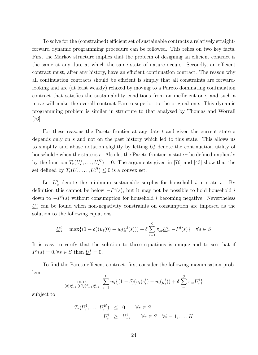To solve for the (constrained) efficient set of sustainable contracts a relatively straightforward dynamic programming procedure can be followed. This relies on two key facts. First the Markov structure implies that the problem of designing an efficient contract is the same at any date at which the same state of nature occurs. Secondly, an efficient contract must, after any history, have an efficient continuation contract. The reason why all continuation contracts should be efficient is simply that all constraints are forwardlooking and are (at least weakly) relaxed by moving to a Pareto dominating continuation contract that satisfies the sustainability conditions from an inefficient one, and such a move will make the overall contract Pareto-superior to the original one. This dynamic programming problem is similar in structure to that analysed by Thomas and Worrall [76].

For these reasons the Pareto frontier at any date  $t$  and given the current state  $s$ depends only on s and not on the past history which led to this state. This allows us to simplify and abuse notation slightly by letting  $U_r^i$  denote the continuation utility of household i when the state is r. Also let the Pareto frontier in state r be defined implicitly by the function  $T_r(U_r^1, \ldots, U_r^H) = 0$ . The arguments given in [76] and [43] show that the set defined by  $T_r(U_r^1, \ldots, U_r^H) \leq 0$  is a convex set.

Let  $\underline{U}_s^i$  denote the minimum sustainable surplus for household i in state s. By definition this cannot be below  $-P<sup>i</sup>(s)$ , but it may not be possible to hold household i down to  $-P^{i}(s)$  without consumption for household *i* becoming negative. Nevertheless  $\underline{U}_s^i$  can be found when non-negativity constraints on consumption are imposed as the solution to the following equations

$$
\underline{U}_{s}^{i} = \max\{ (1 - \delta)(u_{i}(0) - u_{i}(y^{i}(s))) + \delta \sum_{r=1}^{S} \pi_{sr} \underline{U}_{r}^{i}, -P^{i}(s) \} \quad \forall s \in S
$$

It is easy to verify that the solution to these equations is unique and to see that if  $P^i(s) = 0, \forall s \in S$  then  $\underline{U}_s^i = 0$ .

To find the Pareto-efficient contract, first consider the following maximisation problem.

$$
\max_{(c_s^i)_{i=1}^H, ((U_r^i)_{r=1}^S)_{i=1}^H} \sum_{i=1}^H w_i \{(1-\delta)(u_i(c_s^i) - u_i(y_s^i)) + \delta \sum_{r=1}^S \pi_{sr} U_r^i\}
$$

subject to

$$
T_r(U_r^1, \dots, U_r^H) \leq 0 \quad \forall r \in S
$$
  

$$
U_r^i \geq \underline{U}_r^i, \quad \forall r \in S \quad \forall i = 1, \dots, H
$$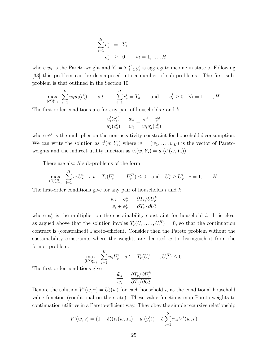$$
\sum_{i=1}^{H} c_s^i = Y_s
$$
  

$$
c_s^i \geq 0 \qquad \forall i = 1, ..., H
$$

where  $w_i$  is the Pareto-weight and  $Y_s = \sum_{i=1}^H y_s^i$  is aggregate income in state s. Following [33] this problem can be decomposed into a number of sub-problems. The first subproblem is that outlined in the Section 10

$$
\max_{(c^i)^H_{i=1}} \sum_{i=1}^H w_i u_i(c_s^i) \qquad s.t. \qquad \sum_{i=1}^H c_s^i = Y_s \qquad \text{and} \qquad c_s^i \ge 0 \quad \forall i = 1, \dots, H.
$$

The first-order conditions are for any pair of households  $i$  and  $k$ 

$$
\frac{u'_i(c^i_s)}{u'_k(c^k_s)} = \frac{w_k}{w_i} + \frac{\psi^k - \psi^i}{w_iu'_k(c^k_s)}
$$

where  $\psi^i$  is the multiplier on the non-negativity constraint for household i consumption. We can write the solution as  $c^{i}(w, Y_s)$  where  $w = (w_1, \ldots, w_H)$  is the vector of Paretoweights and the indirect utility function as  $v_i(w, Y_s) = u_i(c^i(w, Y_s)).$ 

There are also  $S$  sub-problems of the form

$$
\max_{(U_r^i)_{i=1}^H} \sum_{i=1}^H w_i U_r^i \quad s.t. \quad T_r(U_r^1, \dots, U_r^H) \le 0 \quad \text{and} \quad U_r^i \ge \underline{U}_r^i \quad i = 1, \dots, H.
$$

The first-order conditions give for any pair of households  $i$  and  $k$ 

$$
\frac{w_k + \phi_r^k}{w_i + \phi_r^i} = \frac{\partial T_r/\partial U_r^k}{\partial T_r/\partial U_r^i}
$$

where  $\phi_r^i$  is the multiplier on the sustainability constraint for household i. It is clear as argued above that the solution involes  $T_r(U_r^1, \ldots, U_r^H) = 0$ , so that the continuation contract is (constrained) Pareto-efficient. Consider then the Pareto problem without the sustainability constraints where the weights are denoted  $\tilde{w}$  to distinguish it from the former problem.

$$
\max_{(U_r^i)_{i=1}^H} \sum_{i=1}^H \tilde{w}_i U_r^i \quad s.t. \quad T_r(U_r^1, \dots, U_r^H) \le 0.
$$

The first-order conditions give

$$
\frac{\tilde{w}_k}{\tilde{w}_i} = \frac{\partial T_r/\partial U_r^k}{\partial T_r/\partial U_r^i}
$$

Denote the solution  $V^i(\tilde{w}, r) = U^i_r(\tilde{w})$  for each household *i*, as the conditional household value function (conditional on the state). These value functions map Pareto-weights to continuation utilities in a Pareto-efficient way. They obey the simple recursive relationship

$$
V^{i}(w, s) = (1 - \delta)(v_{i}(w, Y_{s}) - u_{i}(y_{s}^{i})) + \delta \sum_{s=1}^{S} \pi_{sr} V^{i}(\tilde{w}, r)
$$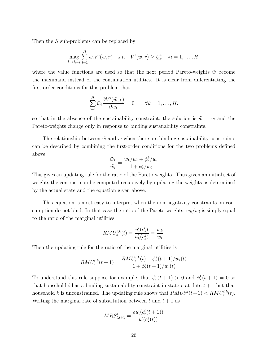Then the S sub-problems can be replaced by

$$
\max_{\{\tilde{w}_i\}_{i=1}^H} \sum_{i=1}^H w_i V^i(\tilde{w}, r) \quad s.t. \quad V^i(\tilde{w}, r) \ge \underline{U}_r^i \quad \forall i = 1, \dots, H.
$$

where the value functions are used so that the next period Pareto-weights  $\tilde{w}$  become the maximand instead of the continuation utilities. It is clear from differentiating the first-order conditions for this problem that

$$
\sum_{i=1}^{H} \tilde{w}_i \frac{\partial V^i(\tilde{w}, r)}{\partial \tilde{w}_k} = 0 \qquad \forall k = 1, \dots, H.
$$

so that in the absence of the sustainability constraint, the solution is  $\tilde{w} = w$  and the Pareto-weights change only in response to binding sustanability constraints.

The relationship between  $\tilde{w}$  and w when there are binding sustainability constraints can be described by combining the first-order conditions for the two problems defined above

$$
\frac{\tilde{w}_k}{\tilde{w}_i} = \frac{w_k/w_i + \phi_r^k/w_i}{1 + \phi_r^i/w_i}
$$

This gives an updating rule for the ratio of the Pareto-weights. Thus given an initial set of weights the contract can be computed recursively by updating the weights as determined by the actual state and the equation given above.

This equation is most easy to interpret when the non-negativity constraints on consumption do not bind. In that case the ratio of the Pareto-weights,  $w_k/w_i$  is simply equal to the ratio of the marginal utilities

$$
RMU_s^{i,k}(t) = \frac{u'_i(c_s^i)}{u'_k(c_s^k)} = \frac{w_k}{w_i}.
$$

Then the updating rule for the ratio of the marginal utilities is

$$
RMU_r^{i,k}(t+1) = \frac{RMU_s^{i,k}(t) + \phi_r^k(t+1)/w_i(t)}{1 + \phi_r^i(t+1)/w_i(t)}
$$

To understand this rule suppose for example, that  $\phi_r^i(t+1) > 0$  and  $\phi_r^k(t+1) = 0$  so that household i has a binding sustainability constraint in state r at date  $t + 1$  but that household k is unconstrained. The updating rule shows that  $RMU_r^{i,k}(t+1) < RMU_r^{i,k}(t)$ . Writing the marginal rate of substitution between t and  $t + 1$  as

$$
MRS_{t,t+1}^i = \frac{\delta u_i'(c_r^i(t+1))}{u_i'(c_s^k(t))}
$$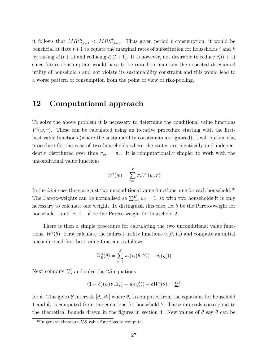it follows that  $MRS_{t,t+1}^i < MRS_{t,t+1}^k$ . Thus given period t consumption, it would be beneficial at date  $t+1$  to equate the marginal rates of substitution for households i and k by raising  $c_r^k(t+1)$  and reducing  $c_r^i(t+1)$ . It is however, not desirable to reduce  $c_r^i(t+1)$ since future consumption would have to be raised to maintain the expected discounted utility of household  $i$  and not violate its sustainability constraint and this would lead to a worse pattern of consumption from the point of view of risk-pooling.

## 12 Computational approach

To solve the above problem it is necessary to determine the conditional value functions  $V^i(w,r)$ . These can be calculated using an iterative procedure starting with the firstbest value functions (where the sustainability constraints are ignored). I will outline this procedure for the case of two households where the states are identically and independently distributed over time  $\pi_{sr} = \pi_r$ . It is computationally simpler to work with the unconditional value functions

$$
W^{i}(w) = \sum_{r=1}^{S} \pi_r V^{i}(w, r)
$$

In the i.i.d case there are just two unconditional value functions, one for each household.<sup>16</sup> The Pareto-weights can be normalised so  $\sum_{i=1}^{H} w_i = 1$ , so with two households it is only necessary to calculate one weight. To distinguish this case, let  $\theta$  be the Pareto-weight for household 1 and let  $1 - \theta$  be the Pareto-weight for household 2.

There is then a simple procedure for calculating the two unconditional value functions,  $W^i(\theta)$ . First calculate the indirect utility functions  $v_i(\theta, Y_s)$  and compute an initial unconditional first-best value function as follows

$$
W_0^i(\theta) = \sum_{s=1}^{S} \pi_s(v_i(\theta, Y_s) - u_i(y_s^i))
$$

Next compute  $\underline{U}^i_s$  and solve the 2S equations

$$
(1 - \delta)(v_i(\theta, Y_s) - u_i(y_s^i)) + \delta W_0^i(\theta) = \underline{U}_s^i
$$

for  $\theta$ . This gives S intervals  $[\underline{\theta}_s, \overline{\theta}_s]$  where  $\underline{\theta}_s$  is computed from the equations for household 1 and  $\bar{\theta}_s$  is computed from the equations for household 2. These intervals correspond to the theoretical bounds drawn in the figures in section 4. New values of  $\theta$  say  $\tilde{\theta}$  can be

<sup>&</sup>lt;sup>16</sup>In general there are  $HS$  value functions to compute.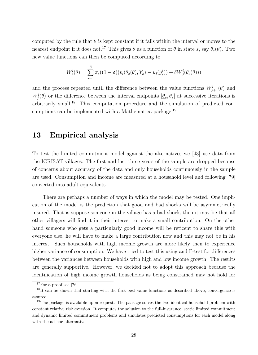computed by the rule that  $\theta$  is kept constant if it falls within the interval or moves to the nearest endpoint if it does not.<sup>17</sup> This gives  $\tilde{\theta}$  as a function of  $\theta$  in state s, say  $\tilde{\theta}_s(\theta)$ . Two new value functions can then be computed according to

$$
W_1^i(\theta) = \sum_{s=1}^S \pi_s((1-\delta)(v_i(\tilde{\theta}_s(\theta), Y_s) - u_i(y_s^i)) + \delta W_0^i(\tilde{\theta}_s(\theta)))
$$

and the process repeated until the difference between the value functions  $W^i_{j+1}(\theta)$  and  $W_j^i(\theta)$  or the difference between the interval endpoints  $[\underline{\theta}_s, \overline{\theta}_s]$  at successive iterations is arbitrarily small.<sup>18</sup> This computation procedure and the simulation of predicted consumptions can be implemented with a Mathematica package.<sup>19</sup>

## 13 Empirical analysis

To test the limited commitment model against the alternatives we [43] use data from the ICRISAT villages. The first and last three years of the sample are dropped because of concerns about accuracy of the data and only households continuously in the sample are used. Consumption and income are measured at a household level and following [79] converted into adult equivalents.

There are perhaps a number of ways in which the model may be tested. One implication of the model is the prediction that good and bad shocks will be asymmetrically insured. That is suppose someone in the village has a bad shock, then it may be that all other villagers will find it in their interest to make a small contribution. On the other hand someone who gets a particularly good income will be reticent to share this with everyone else, he will have to make a large contribution now and this may not be in his interest. Such households with high income growth are more likely then to experience higher variance of consumption. We have tried to test this using and F-test for differences between the variances between households with high and low income growth. The results are generally supportive. However, we decided not to adopt this approach because the identification of high income growth households as being constrained may not hold for

 $17$ For a proof see [76].

<sup>&</sup>lt;sup>18</sup>It can be shown that starting with the first-best value functions as described above, convergence is assured.

<sup>&</sup>lt;sup>19</sup>The package is available upon request. The package solves the two identical household problem with constant relative risk aversion. It computes the solution to the full-insurance, static limited commitment and dynamic limited commitment problems and simulates predicted consumptions for each model along with the ad hoc alternative.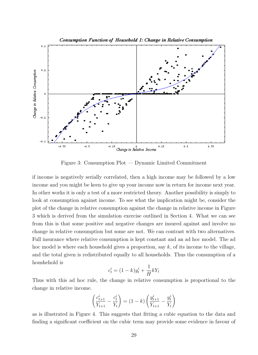

Figure 3: Consumption  $Plot - Dynamic Limited Comment$ 

if income is negatively serially correlated, then a high income may be followed by a low income and you might be keen to give up your income now in return for income next year. In other works it is only a test of a more restricted theory. Another possibility is simply to look at consumption against income. To see what the implication might be, consider the plot of the change in relative consumption against the change in relative income in Figure 3 which is derived from the simulation exercise outlined in Section 4. What we can see from this is that some positive and negative changes are insured against and involve no change in relative consumption but some are not. We can contrast with two alternatives. Full insurance where relative consumption is kept constant and an ad hoc model. The ad hoc model is where each household gives a proportion, say  $k$ , of its income to the village, and the total given is redistributed equally to all households. Thus the consumption of a houshehold is

$$
c_t^i = (1 - k)y_t^i + \frac{1}{H}kY_t
$$

Thus with this ad hoc rule, the change in relative consumption is proportional to the change in relative income.

$$
\left(\frac{c_{t+1}^i}{Y_{t+1}} - \frac{c_t^i}{Y_t}\right) = (1 - k) \left(\frac{y_{t+1}^i}{Y_{t+1}} - \frac{y_t^i}{Y_t}\right)
$$

as is illustrated in Figure 4. This suggests that fitting a cubic equation to the data and finding a significant coefficient on the cubic term may provide some evidence in favour of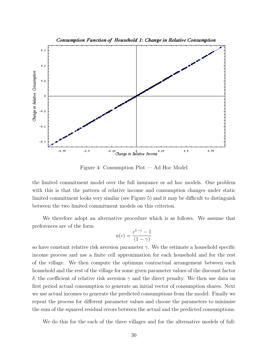

Figure 4: Consumption  $Plot - Ad Hoc$  Model

the limited commitment model over the full insurance or ad hoc models. One problem with this is that the pattern of relative income and consumption changes under static limited commitment looks very similar (see Figure 5) and it may be difficult to distinguish between the two limited commitment models on this criterion.

We therefore adopt an alternative procedure which is as follows. We assume that preferences are of the form

$$
u(c) = \frac{c^{1-\gamma} - 1}{(1 - \gamma)}
$$

so have constant relative risk aversion parameter  $\gamma$ . We the estimate a household specific income process and use a finite cell approximation for each household and for the rest of the village. We then compute the optimum contractual arrangement between each household and the rest of the village for some given parameter values of the discount factor δ, the coefficient of relative risk aversion  $\gamma$  and the direct penalty. We then use data on first period actual consumption to generate an initial vector of consumption shares. Next we use actual incomes to generate the predicted consumptions from the model. Finally we repeat the process for different parameter values and choose the parameters to minimise the sum of the squared residual errors between the actual and the predicted consumptions.

We do this for the each of the three villages and for the alternative models of full-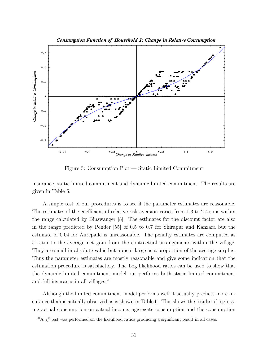

Figure 5: Consumption  $Plot - Static$  Limited Commitment

insurance, static limited commitment and dynamic limited commitment. The results are given in Table 5.

A simple test of our procedures is to see if the parameter estimates are reasonable. The estimates of the coefficient of relative risk aversion varies from 1.3 to 2.4 so is within the range calculated by Binswanger [8]. The estimates for the discount factor are also in the range predicted by Pender [55] of 0.5 to 0.7 for Shirapur and Kanzara but the estimate of 0.04 for Aurepalle is unreasonable. The penalty estimates are computed as a ratio to the average net gain from the contractual arrangements within the village. They are small in absolute value but appear large as a proportion of the average surplus. Thus the parameter estimates are mostly reasonable and give some indication that the estimation procedure is satisfactory. The Log likelihood ratios can be used to show that the dynamic limited commitment model out performs both static limited commitment and full insurance in all villages.<sup>20</sup>

Although the limited commitment model performs well it actually predicts more insurance than is actually observed as is shown in Table 6. This shows the results of regressing actual consumption on actual income, aggregate consumption and the consumption

<sup>&</sup>lt;sup>20</sup>A  $\chi^2$  test was performed on the likelihood ratios producing a significant result in all cases.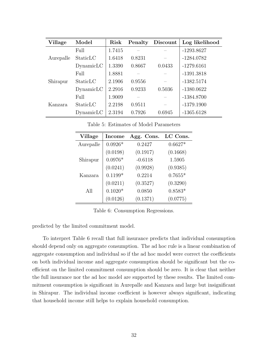| <b>Village</b> | Model      | Risk   | Penalty | Discount | Log likelihood |
|----------------|------------|--------|---------|----------|----------------|
|                | Full       | 1.7415 |         |          | $-1293.8627$   |
| Aurepalle      | StaticLC   | 1.6418 | 0.8231  |          | $-1284.0782$   |
|                | Dynamic LC | 1.3390 | 0.8667  | 0.0433   | $-1279.6161$   |
|                | Full       | 1.8881 |         |          | $-1391.3818$   |
| Shirapur       | StaticLC   | 2.1906 | 0.9556  |          | $-1382.5174$   |
|                | Dynamic LC | 2.2916 | 0.9233  | 0.5036   | $-1380.0622$   |
| Kanzara        | Full       | 1.9009 |         |          | $-1384.8700$   |
|                | StaticLC   | 2.2198 | 0.9511  |          | $-1379.1900$   |
|                | Dynamic LC | 2.3194 | 0.7926  | 0.6945   | $-1365.6128$   |

| <b>Village</b> | <b>Income</b> | Agg. Cons. | LC Cons.  |
|----------------|---------------|------------|-----------|
| Aurepalle      | $0.0926*$     | 0.2427     | $0.6627*$ |
|                | (0.0198)      | (0.1917)   | (0.1668)  |
| Shirapur       | $0.0976*$     | $-0.6118$  | 1.5905    |
|                | (0.0241)      | (0.9928)   | (0.9385)  |
| Kanzara        | $0.1199*$     | 0.2214     | $0.7655*$ |
|                | (0.0211)      | (0.3527)   | (0.3290)  |
| All            | $0.1020*$     | 0.0850     | $0.8583*$ |
|                | (0.0126)      | (0.1371)   | (0.0775)  |

Table 5: Estimates of Model Parameters

Table 6: Consumption Regressions.

predicted by the limited commitment model.

To interpret Table 6 recall that full insurance predicts that individual consumption should depend only on aggregate consumption. The ad hoc rule is a linear combination of aggregate consumption and individual so if the ad hoc model were correct the coefficients on both individual income and aggregate consumption should be significant but the coefficient on the limited commitment consumption should be zero. It is clear that neither the full insurance nor the ad hoc model are supported by these results. The limited commitment consumption is significant in Aurepalle and Kanzara and large but insignificant in Shirapur. The individual income coefficient is however always significant, indicating that household income still helps to explain household consumption.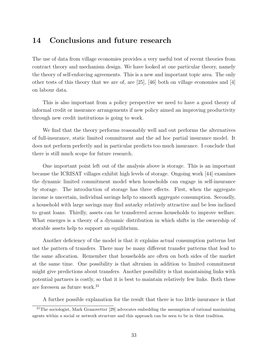## 14 Conclusions and future research

The use of data from village economies provides a very useful test of recent theories from contract theory and mechanism design. We have looked at one particular theory, namely the theory of self-enforcing agreements. This is a new and important topic area. The only other tests of this theory that we are of, are  $[25]$ ,  $[46]$  both on village economies and  $[4]$ on labour data.

This is also important from a policy perspective we need to have a good theory of informal credit or insurance arrangements if new policy aimed an improving productivity through new credit institutions is going to work.

We find that the theory performs reasonably well and out performs the alternatives of full-insurance, static limited commitment and the ad hoc partial insurance model. It does not perform perfectly and in particular predicts too much insurance. I conclude that there is still much scope for future research.

One important point left out of the analysis above is storage. This is an important because the ICRISAT villages exhibit high levels of storage. Ongoing work [44] examines the dynamic limited commitment model when households can engage in self-insurance by storage. The introduction of storage has three effects. First, when the aggregate income is uncertain, individual savings help to smooth aggregate consumption. Secondly, a household with large savings may find autarky relatively attractive and be less inclined to grant loans. Thirdly, assets can be transferred across households to improve welfare. What emerges is a theory of a dynamic distribution in which shifts in the ownership of storable assets help to support an equilibrium.

Another deficiency of the model is that it explains actual consumption patterns but not the pattern of transfers. There may be many different transfer patterns that lead to the same allocation. Remember that households are often on both sides of the market at the same time. One possibility is that altruism in addition to limited commitment might give predictions about transfers. Another possibility is that maintaining links with potential partners is costly, so that it is best to maintain relatively few links. Both these are foreseen as future work.<sup>21</sup>

A further possible explanation for the result that there is too little insurance is that

<sup>&</sup>lt;sup>21</sup>The sociologist, Mark Granovetter [29] advocates embedding the assumption of rational maximizing agents within a social or network structure and this approach can be seen to be in thtat tradition.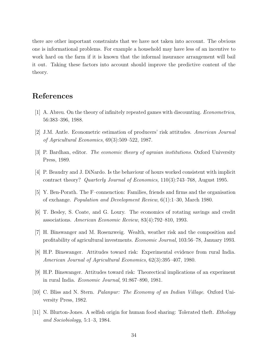there are other important constraints that we have not taken into account. The obvious one is informational problems. For example a household may have less of an incentive to work hard on the farm if it is known that the informal insurance arrangement will bail it out. Taking these factors into account should improve the predictive content of the theory.

## References

- [1] A. Abreu. On the theory of infinitely repeated games with discounting. Econometrica, 56:383–396, 1988.
- [2] J.M. Antle. Econometric estimation of producers' risk attitudes. American Journal of Agricultural Economics,  $69(3):509-522$ , 1987.
- [3] P. Bardhan, editor. The economic theory of agraian institutions. Oxford University Press, 1989.
- [4] P. Beaudry and J. DiNardo. Is the behaviour of hours worked consistent with implicit contract theory? Quarterly Journal of Economics,  $110(3)$ :743-768, August 1995.
- [5] Y. Ben-Porath. The F-connenction: Families, friends and firms and the organisation of exchange. *Population and Development Review*,  $6(1)$ :1-30, March 1980.
- [6] T. Besley, S. Coate, and G. Loury. The economics of rotating savings and credit associations. American Economic Review, 83(4):792-810, 1993.
- [7] H. Binswanger and M. Rosenzweig. Wealth, weather risk and the composition and profitability of agricultural investments. *Economic Journal*, 103:56–78, January 1993.
- [8] H.P. Binswanger. Attitudes toward risk: Experimental evidence from rural India. American Journal of Agricultural Economics, 62(3):395-407, 1980.
- [9] H.P. Binswanger. Attitudes toward risk: Theorectical implications of an experiment in rural India. *Economic Journal*,  $91:867-890$ , 1981.
- [10] C. Bliss and N. Stern. Palanpur: The Economy of an Indian Village. Oxford University Press, 1982.
- [11] N. Blurton-Jones. A selfish origin for human food sharing: Tolerated theft. Ethology and Sociobiology,  $5:1-3$ , 1984.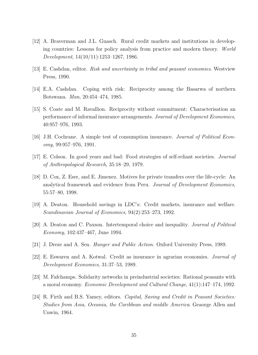- [12] A. Braverman and J.L. Guasch. Rural credit markets and institutions in developing countries: Lessons for policy analysis from practice and modern theory. World  $Development, 14(10/11):1253-1267, 1986.$
- [13] E. Cashdan, editor. Risk and uncertainty in tribal and peasant economies. Westview Press, 1990.
- [14] E.A. Cashdan. Coping with risk: Reciprocity among the Basarwa of northern Botswana. *Man*, 20:454-474, 1985.
- [15] S. Coate and M. Ravallion. Reciprocity without commitment: Characterisation an performance of informal insurance arrangements. Journal of Development Economics, 40:957976, 1993.
- [16] J.H. Cochrane. A simple test of consumption insurance. Journal of Political Econ $omy, 99:957-976, 1991.$
- [17] E. Colson. In good years and bad: Food strategies of self-reliant societies. Journal of Anthropological Research, 35:18-29, 1979.
- [18] D. Cox, Z. Eser, and E. Jimenez. Motives for private transfers over the life-cycle: An analytical framework and evidence from Peru. Journal of Development Economics, 55:57-80, 1998.
- [19] A. Deaton. Household savings in LDC's: Credit markets, insurance and welfare. Scandinavian Journal of Economics,  $94(2):253-273$ , 1992.
- [20] A. Deaton and C. Paxson. Intertemporal choice and inequality. Journal of Political  $Economy, 102:437-467, June 1994.$
- [21] J. Dreze and A. Sen. Hunger and Public Action. Oxford University Press, 1989.
- [22] E. Eswaren and A. Kotwal. Credit as insurance in agrarian economies. Journal of Development Economics, 31:37–53, 1989.
- [23] M. Fafchamps. Solidarity networks in preindustrial societies: Rational peasants with a moral economy. Economic Development and Cultural Change, 41(1):147-174, 1992.
- [24] R. Firth and B.S. Yamey, editors. Capital, Saving and Credit in Peasant Societies: Studies from Asia, Oceania, the Caribbean and middle America. Geaorge Allen and Unwin, 1964.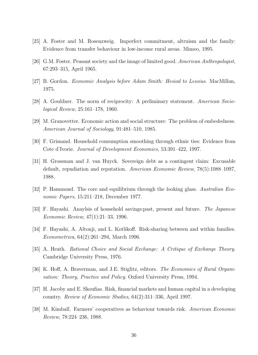- [25] A. Foster and M. Rosenzweig. Imperfect commitment, altruism and the family: Evidence from transfer behaviour in low-income rural areas. Mimeo, 1995.
- [26] G.M. Foster. Peasant society and the image of limited good. American Anthropologist, 67:293-315, April 1965.
- [27] B. Gordon. Economic Analysis before Adam Smith: Hesiod to Lessius. MacMillan, 1975.
- [28] A. Gouldner. The norm of reciprocity: A preliminary statement. American Socio $logical Review, 25:161–178, 1960.$
- [29] M. Granovetter. Economic action and social structure: The problem of embededness. American Journal of Sociology,  $91:481-510$ , 1985.
- [30] F. Grimand. Household consumption smoothing through ethnic ties: Evidence from Cote d'Ivorie. Journal of Development Economics, 53:391-422, 1997.
- [31] H. Grossman and J. van Huyck. Sovereign debt as a contingent claim: Excusable default, repudiation and reputation. American Economic Review,  $78(5)$ :1088-1097, 1988.
- [32] P. Hammond. The core and equilibrium through the looking glass. Australian Economic Papers, 15:211–218, December 1977.
- [33] F. Hayashi. Anaylsis of household savings:past, present and future. The Japanese Economic Review,  $47(1):21-33$ , 1996.
- [34] F. Hayashi, A. Altonji, and L. Kotlikoff. Risk-sharing between and within families. Econometrica,  $64(2):261-294$ , March 1996.
- [35] A. Heath. Rational Choice and Social Exchange: A Critique of Exchange Theory. Cambridge University Press, 1976.
- [36] K. Hoff, A. Braverman, and J.E. Stiglitz, editors. The Economics of Rural Organisation: Theory, Practice and Policy. Oxford University Press, 1994.
- [37] H. Jacoby and E. Skoufias. Risk, financial markets and human capital in a developing country. Review of Economic Studies,  $64(2):311-336$ , April 1997.
- [38] M. Kimball. Farmers' cooperatives as behaviour towards risk. American Economic Review, 78:224–236, 1988.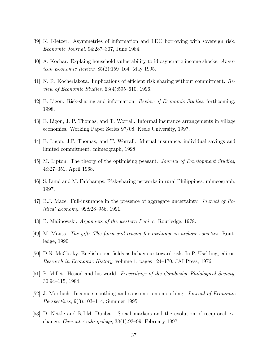- [39] K. Kletzer. Asymmetries of information and LDC borrowing with sovereign risk. *Economic Journal*, 94:287–307, June 1984.
- [40] A. Kochar. Explaing household vulnerability to idiosyncratic income shocks. Amer*ican Economic Review*,  $85(2):159-164$ , May 1995.
- [41] N. R. Kocherlakota. Implications of efficient risk sharing without commitment. Re*view of Economic Studies*,  $63(4):595-610$ , 1996.
- [42] E. Ligon. Risk-sharing and information. Review of Economic Studies, forthcoming, 1998.
- [43] E. Ligon, J. P. Thomas, and T. Worrall. Informal insurance arrangements in village economies. Working Paper Series 97/08, Keele University, 1997.
- [44] E. Ligon, J.P. Thomas, and T. Worrall. Mutual insurance, individual savings and limited commitment. mimeograph, 1998.
- [45] M. Lipton. The theory of the optimising peasant. Journal of Development Studies, 4:327–351, April 1968.
- [46] S. Lund and M. Fafchamps. Risk-sharing networks in rural Philippines. mimeograph, 1997.
- [47] B.J. Mace. Full-insurance in the presence of aggregate uncertainty. Journal of Po $litted\ Economy, 99:928-956, 1991.$
- [48] B. Malinowski. Argonauts of the western Pacific. Routledge, 1978.
- [49] M. Mauss. The gift: The form and reason for exchange in archaic societies. Routledge, 1990.
- [50] D.N. McClosky. English open fields as behaviour toward risk. In P. Uselding, editor, Research in Economic History, volume 1, pages 124–170. JAI Press, 1976.
- [51] P. Millet. Hesiod and his world. Proceedings of the Cambridge Philological Society, 30:94–115, 1984.
- [52] J. Morduch. Income smoothing and consumption smoothing. Journal of Economic *Perspectives*,  $9(3):103-114$ , Summer 1995.
- [53] D. Nettle and R.I.M. Dunbar. Social markers and the evolution of reciprocal exchange. Current Anthropology,  $38(1):93-99$ , February 1997.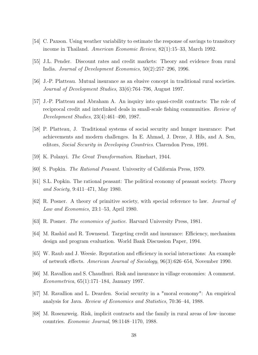- [54] C. Paxson. Using weather variability to estimate the response of savings to transitory income in Thailand. American Economic Review, 82(1):15–33, March 1992.
- [55] J.L. Pender. Discount rates and credit markets: Theory and evidence from rural India. Journal of Development Economics,  $50(2):257-296$ , 1996.
- [56] J.-P. Platteau. Mutual insurance as an elusive concept in traditional rural societies. Journal of Development Studies, 33(6):764–796, August 1997.
- [57] J.-P. Platteau and Abraham A. An inquiry into quasi-credit contracts: The role of reciprocal credit and interlinked deals in small-scale fishing communities. Review of Development Studies,  $23(4):461-490, 1987.$
- [58] P. Platteau, J. Traditional systems of social security and hunger insurance: Past achievements and modern challenges. In E. Ahmad, J. Dreze, J. Hils, and A. Sen, editors, Social Security in Developing Countries. Clarendon Press, 1991.
- [59] K. Polanyi. The Great Transformation. Rinehart, 1944.
- [60] S. Popkin. The Rational Peasant. Univesrity of California Press, 1979.
- [61] S.L. Popkin. The rational peasant: The political economy of peasant society. Theory and Society, 9:411-471, May 1980.
- [62] R. Posner. A theory of primitive society, with special reference to law. Journal of Law and Economics,  $23:1-53$ , April 1980.
- [63] R. Posner. The economics of justice. Harvard University Press, 1981.
- [64] M. Rashid and R. Townsend. Targeting credit and insurance: Efficiency, mechanism design and program evaluation. World Bank Discussion Paper, 1994.
- [65] W. Raub and J. Weesie. Reputation and efficiency in social interactions: An example of network effects. American Journal of Sociology,  $96(3)$ :626–654, November 1990.
- [66] M. Ravallion and S. Chaudhuri. Risk and insurance in village economies: A comment. Econometrica,  $65(1):171-184$ , January 1997.
- [67] M. Ravallion and L. Dearden. Social security in a "moral economy": An empirical analysis for Java. *Review of Economics and Statistics*, 70:36–44, 1988.
- [68] M. Rosenzweig. Risk, implicit contracts and the family in rural areas of low-income countries. *Economic Journal*,  $98:1148-1170$ , 1988.